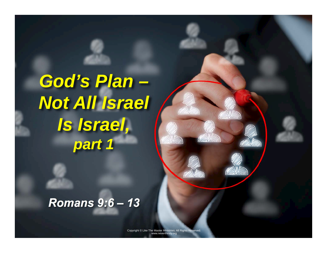*God's Plan – Not All Israel Is Israel, part 1* 

#### *Romans 9:6 – 13*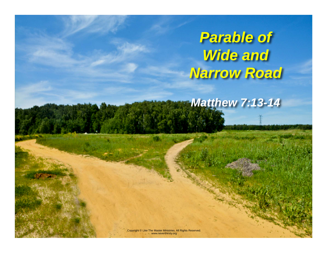*Parable of Wide and Narrow Road* 

*Matthew 7:13-14*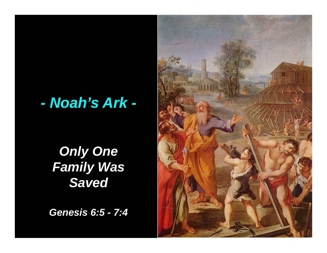# *- Noah's Ark -*

### *Only One Family Was Saved*

*Genesis 6:5 - 7:4* 

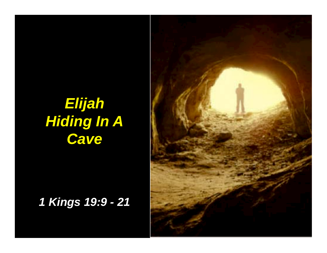# *Elijah Hiding In A Cave*

#### *1 Kings 19:9 - 21*

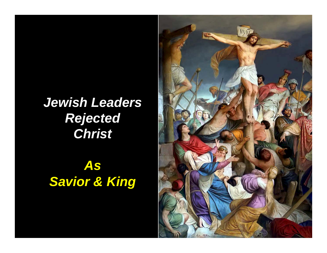*Jewish Leaders Rejected Christ* 

*As Savior & King* 

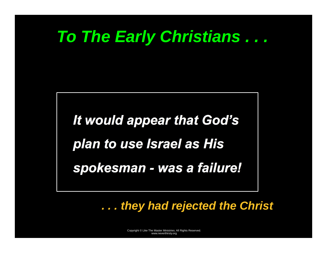# *To The Early Christians . . .*

*It would appear that God's plan to use Israel as His spokesman - was a failure!* 

*. . . they had rejected the Christ*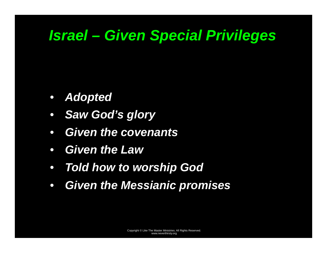# *Israel – Given Special Privileges*

- *Adopted*
- $\bullet$ *Saw God's glory*
- $\bullet$ *Given the covenants*
- $\bullet$ *Given the Law*
- *Told how to worship God*
- $\bullet$ *Given the Messianic promises*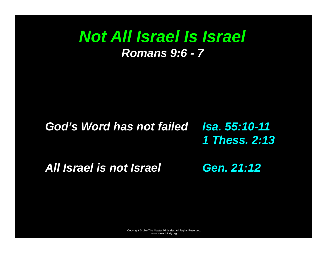### *Not All Israel Is Israel Romans 9:6 - 7*

#### *God's Word has not failed Isa. 55:10-11 1 Thess. 2:13*

*All Israel is not Israel* 

*Gen. 21:12*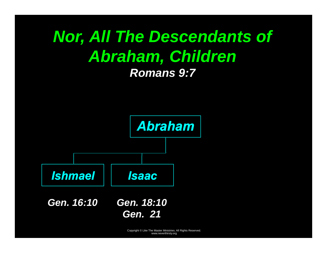# *Nor, All The Descendants of Abraham, Children Romans 9:7*

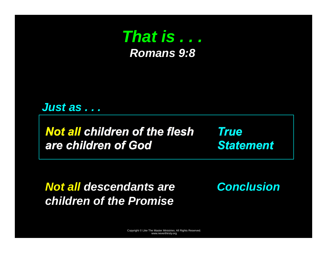

#### *Just as . . .*

*Not all children of the flesh are children of God* 

*True Statement* 

*Not all descendants are children of the Promise* 

*Conclusion*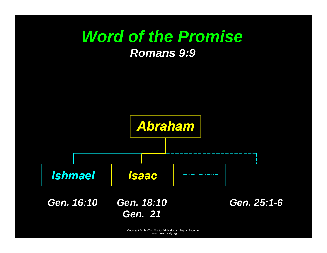

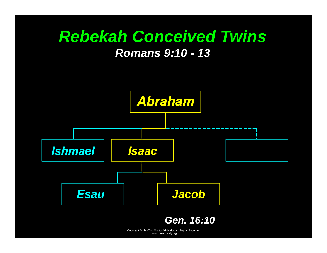## *Rebekah Conceived Twins Romans 9:10 - 13*

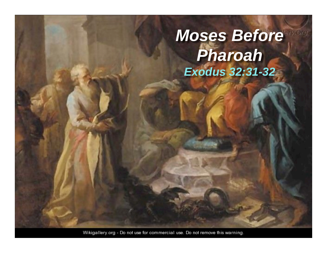# *Moses Before Pharoah Exodus 32:31-32*

Wikigallery.org - Do not use for commercial use. Do not remove this warning.